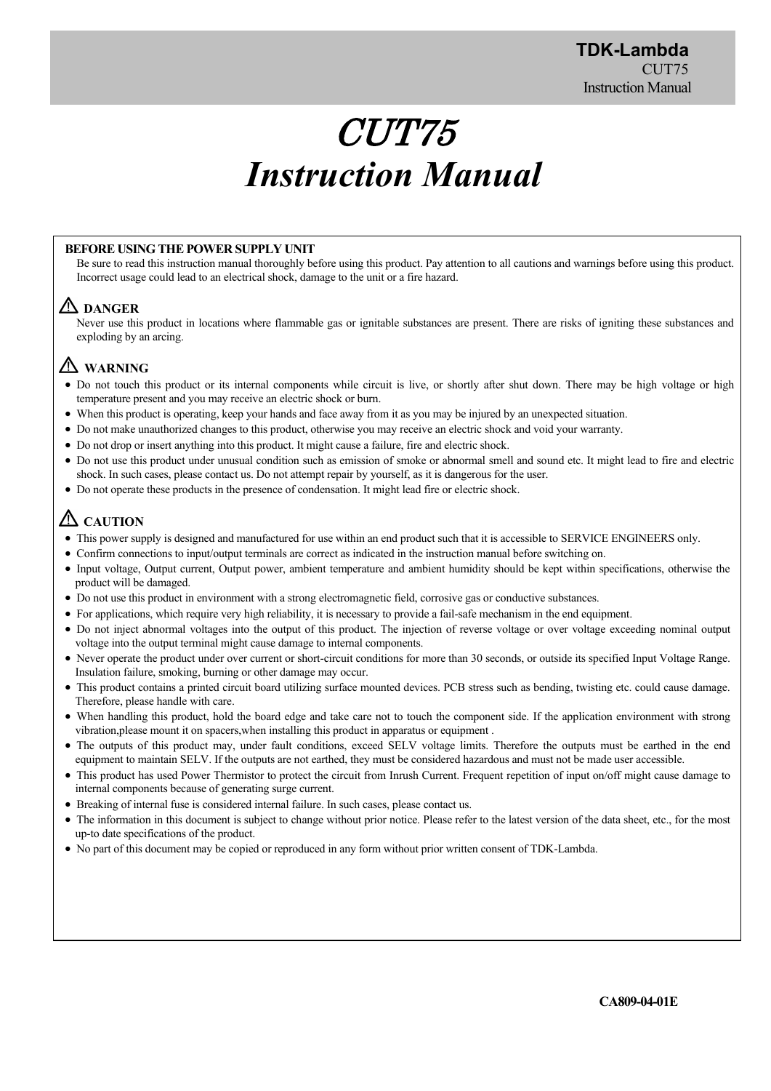# CUT75 *Instruction Manual*

#### **BEFORE USING THE POWER SUPPLY UNIT**

Be sure to read this instruction manual thoroughly before using this product. Pay attention to all cautions and warnings before using this product. Incorrect usage could lead to an electrical shock, damage to the unit or a fire hazard.

# **DANGER**

Never use this product in locations where flammable gas or ignitable substances are present. There are risks of igniting these substances and exploding by an arcing.

# **WARNING**

- Do not touch this product or its internal components while circuit is live, or shortly after shut down. There may be high voltage or high temperature present and you may receive an electric shock or burn.
- When this product is operating, keep your hands and face away from it as you may be injured by an unexpected situation.
- Do not make unauthorized changes to this product, otherwise you may receive an electric shock and void your warranty.
- Do not drop or insert anything into this product. It might cause a failure, fire and electric shock.
- Do not use this product under unusual condition such as emission of smoke or abnormal smell and sound etc. It might lead to fire and electric shock. In such cases, please contact us. Do not attempt repair by yourself, as it is dangerous for the user.
- Do not operate these products in the presence of condensation. It might lead fire or electric shock.

# **ZAUTION**

- This power supply is designed and manufactured for use within an end product such that it is accessible to SERVICE ENGINEERS only.
- Confirm connections to input/output terminals are correct as indicated in the instruction manual before switching on.
- Input voltage, Output current, Output power, ambient temperature and ambient humidity should be kept within specifications, otherwise the product will be damaged.
- Do not use this product in environment with a strong electromagnetic field, corrosive gas or conductive substances.
- For applications, which require very high reliability, it is necessary to provide a fail-safe mechanism in the end equipment.
- Do not inject abnormal voltages into the output of this product. The injection of reverse voltage or over voltage exceeding nominal output voltage into the output terminal might cause damage to internal components.
- Never operate the product under over current or short-circuit conditions for more than 30 seconds, or outside its specified Input Voltage Range. Insulation failure, smoking, burning or other damage may occur.
- This product contains a printed circuit board utilizing surface mounted devices. PCB stress such as bending, twisting etc. could cause damage. Therefore, please handle with care.
- When handling this product, hold the board edge and take care not to touch the component side. If the application environment with strong vibration,please mount it on spacers,when installing this product in apparatus or equipment .
- The outputs of this product may, under fault conditions, exceed SELV voltage limits. Therefore the outputs must be earthed in the end equipment to maintain SELV. If the outputs are not earthed, they must be considered hazardous and must not be made user accessible.
- This product has used Power Thermistor to protect the circuit from Inrush Current. Frequent repetition of input on/off might cause damage to internal components because of generating surge current.
- Breaking of internal fuse is considered internal failure. In such cases, please contact us.
- The information in this document is subject to change without prior notice. Please refer to the latest version of the data sheet, etc., for the most up-to date specifications of the product.
- No part of this document may be copied or reproduced in any form without prior written consent of TDK-Lambda.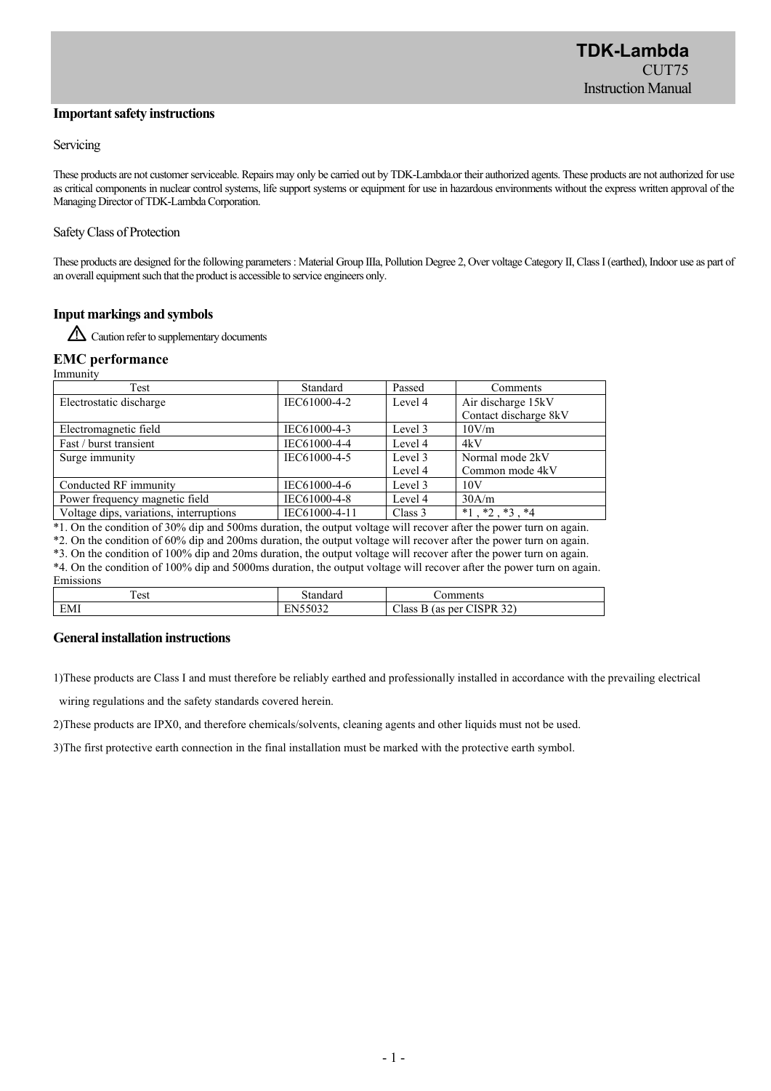#### **Important safety instructions**

#### Servicing

These products are not customer serviceable. Repairs may only be carried out by TDK-Lambda.or their authorized agents. These products are not authorized for use as critical components in nuclear control systems, life support systems or equipment for use in hazardous environments without the express written approval of the Managing Director of TDK-Lambda Corporation.

#### Safety Class of Protection

These products are designed for the following parameters : Material Group IIIa, Pollution Degree 2, Over voltage Category II, Class I (earthed), Indoor use as part of an overall equipment such that the product is accessible to service engineers only.

#### **Input markings and symbols**

 $\triangle$  Caution refer to supplementary documents

#### **EMC performance**

Immunity Test Standard Passed Comments Electrostatic discharge IEC61000-4-2 Level 4 Air discharge 15kV Contact discharge 8kV Electromagnetic field IEC61000-4-3 Level 3 10V/m Fast / burst transient IEC61000-4-4 Level 4 4kV Surge immunity IEC61000-4-5 Level 3 Level 4 Normal mode 2kV Common mode 4kV Conducted RF immunity IEC61000-4-6 Level 3 10V Power frequency magnetic field IEC61000-4-8 Level 4 30A/m Voltage dips, variations, interruptions IEC61000-4-11 Class 3  $*1, *2, *3, *4$ 

\*1. On the condition of 30% dip and 500ms duration, the output voltage will recover after the power turn on again.

\*2. On the condition of 60% dip and 200ms duration, the output voltage will recover after the power turn on again.

\*3. On the condition of 100% dip and 20ms duration, the output voltage will recover after the power turn on again.

\*4. On the condition of 100% dip and 5000ms duration, the output voltage will recover after the power turn on again. Emissions

| ----------- |                                                      |                                                                                                       |  |
|-------------|------------------------------------------------------|-------------------------------------------------------------------------------------------------------|--|
| —<br>l est  | tandard                                              | omments                                                                                               |  |
| EMI         | $T = F \cap \cap \cap$<br>$\mathbf{v}$<br>1000Z<br>- | $\mathbf{a}$<br>$\cap$ TCDD $\infty$ .<br>$\sim$<br>Class<br>per<br>(as<br>ĸ<br>$\cdot$<br><u>. .</u> |  |

#### **General installation instructions**

1)These products are Class Ⅰ and must therefore be reliably earthed and professionally installed in accordance with the prevailing electrical

wiring regulations and the safety standards covered herein.

2)These products are IPX0, and therefore chemicals/solvents, cleaning agents and other liquids must not be used.

3)The first protective earth connection in the final installation must be marked with the protective earth symbol.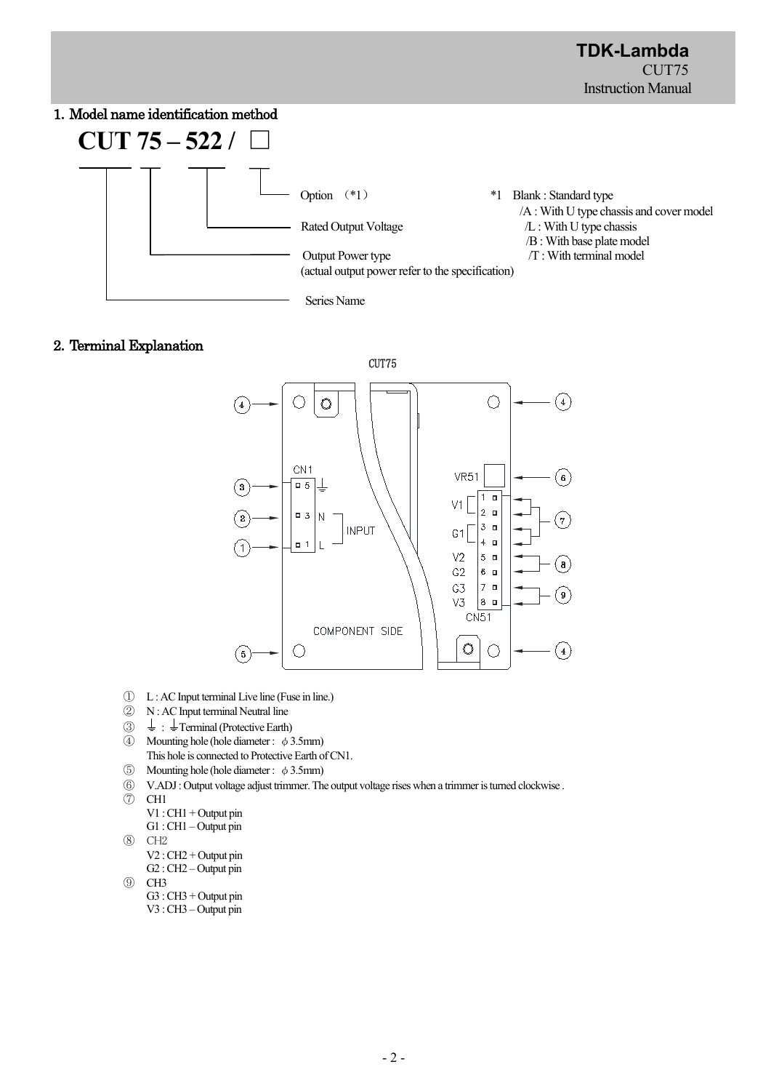# 1.Model name identification method



# 2.Terminal Explanation



- ① L : AC Input terminal Live line (Fuse in line.)
- ② N : AC Input terminal Neutral line
- $\circled{3}$   $\downarrow$  :  $\downarrow$  Terminal (Protective Earth)
- ④ Mounting hole (hole diameter : φ3.5mm) This hole is connected to Protective Earth of CN1.
- $\circled{5}$  Mounting hole (hole diameter : φ3.5mm)
- ⑥ V.ADJ : Output voltage adjust trimmer. The output voltage rises when a trimmer is turned clockwise .
- ⑦ CH1
	- V1 : CH1 + Output pin G1 : CH1 – Output pin
- ⑧ CH2
- - V2 : CH2 + Output pin G2 : CH2 – Output pin

```
⑨ CH3
```
G3 : CH3 + Output pin V3 : CH3 – Output pin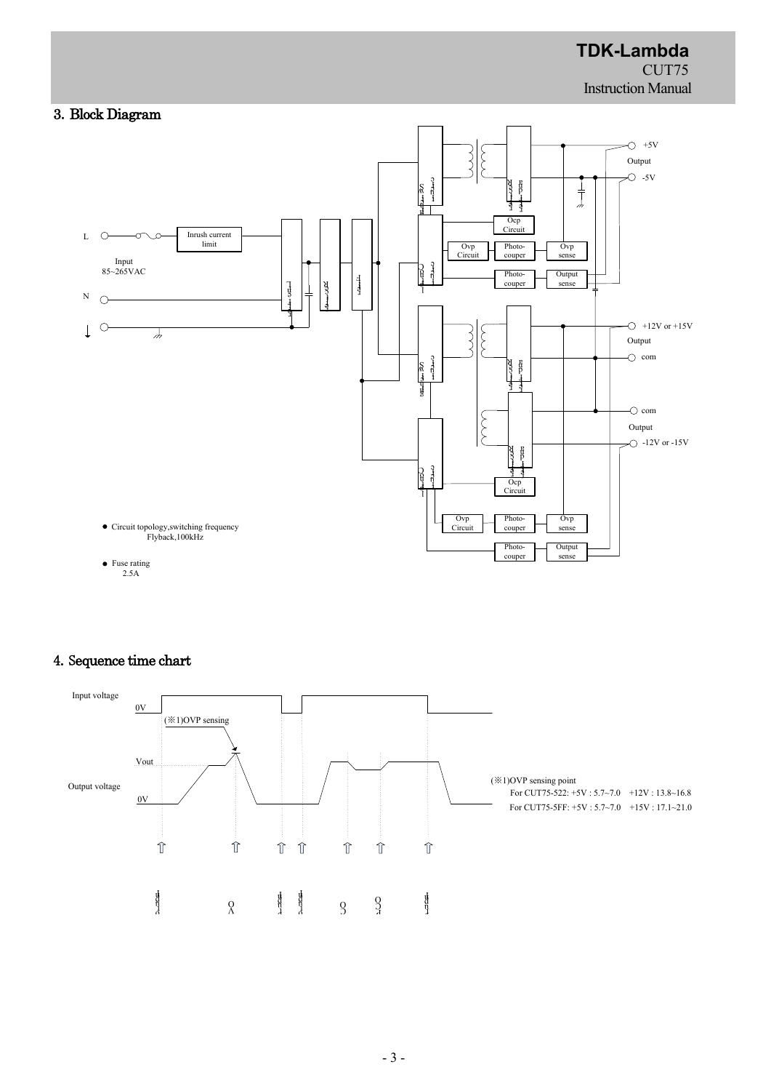

# 4.Sequence time chart

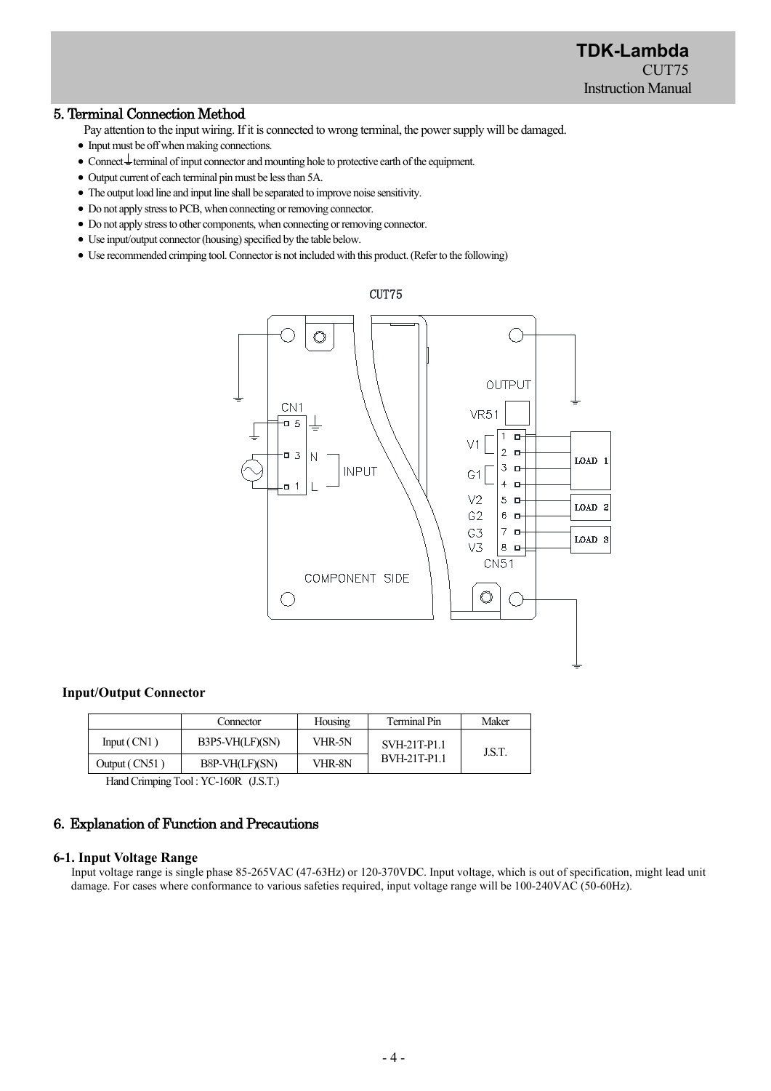# 5. Terminal Connection Method

- Pay attention to the input wiring. If it is connected to wrong terminal, the power supply will be damaged.
- Input must be off when making connections.
- $\bullet$  Connect  $\stackrel{!}{=}$  terminal of input connector and mounting hole to protective earth of the equipment.
- Output current of each terminal pin must be less than 5A.
- The output load line and input line shall be separated to improve noise sensitivity.
- Do not apply stress to PCB, when connecting or removing connector.
- Do not apply stress to other components, when connecting or removing connector.
- Use input/output connector (housing) specified by the table below.
- Use recommended crimping tool.Connector is not included with this product. (Refer to the following)



#### **Input/Output Connector**

|               | Connector       | Housing | Terminal Pin        | Maker |
|---------------|-----------------|---------|---------------------|-------|
| Input(CN1)    | B3P5-VH(LF)(SN) | VHR-5N  | SVH-21T-P1.1        | J.S.T |
| Output (CN51) | B8P-VH(LF)(SN)  | VHR-8N  | <b>BVH-21T-P1.1</b> |       |

Hand Crimping Tool : YC-160R (J.S.T.)

# 6.Explanation of Function and Precautions

#### **6-1. Input Voltage Range**

Input voltage range is single phase 85-265VAC (47-63Hz) or 120-370VDC. Input voltage, which is out of specification, might lead unit damage. For cases where conformance to various safeties required, input voltage range will be 100-240VAC (50-60Hz).

#### CUT75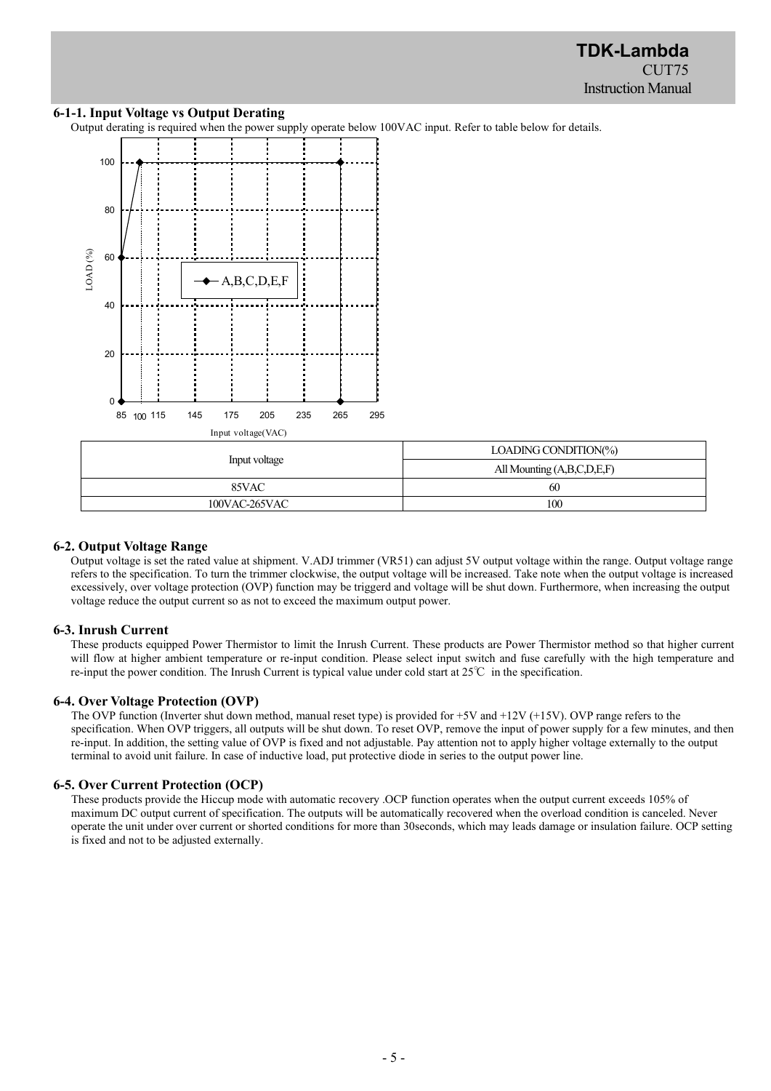# **6-1-1. Input Voltage vs Output Derating**

Output derating is required when the power supply operate below 100VAC input. Refer to table below for details.



|               | LOADING CONDITION(%)       |  |
|---------------|----------------------------|--|
| Input voltage | All Mounting (A,B,C,D,E,F) |  |
| 85VAC         | 60                         |  |
| 100VAC-265VAC | 100                        |  |

#### **6-2. Output Voltage Range**

Output voltage is set the rated value at shipment. V.ADJ trimmer (VR51) can adjust 5V output voltage within the range. Output voltage range refers to the specification. To turn the trimmer clockwise, the output voltage will be increased. Take note when the output voltage is increased excessively, over voltage protection (OVP) function may be triggerd and voltage will be shut down. Furthermore, when increasing the output voltage reduce the output current so as not to exceed the maximum output power.

#### **6-3. Inrush Current**

These products equipped Power Thermistor to limit the Inrush Current. These products are Power Thermistor method so that higher current will flow at higher ambient temperature or re-input condition. Please select input switch and fuse carefully with the high temperature and re-input the power condition. The Inrush Current is typical value under cold start at 25℃ in the specification.

#### **6-4. Over Voltage Protection (OVP)**

The OVP function (Inverter shut down method, manual reset type) is provided for +5V and +12V (+15V). OVP range refers to the specification. When OVP triggers, all outputs will be shut down. To reset OVP, remove the input of power supply for a few minutes, and then re-input. In addition, the setting value of OVP is fixed and not adjustable. Pay attention not to apply higher voltage externally to the output terminal to avoid unit failure. In case of inductive load, put protective diode in series to the output power line.

#### **6-5. Over Current Protection (OCP)**

These products provide the Hiccup mode with automatic recovery .OCP function operates when the output current exceeds 105% of maximum DC output current of specification. The outputs will be automatically recovered when the overload condition is canceled. Never operate the unit under over current or shorted conditions for more than 30seconds, which may leads damage or insulation failure. OCP setting is fixed and not to be adjusted externally.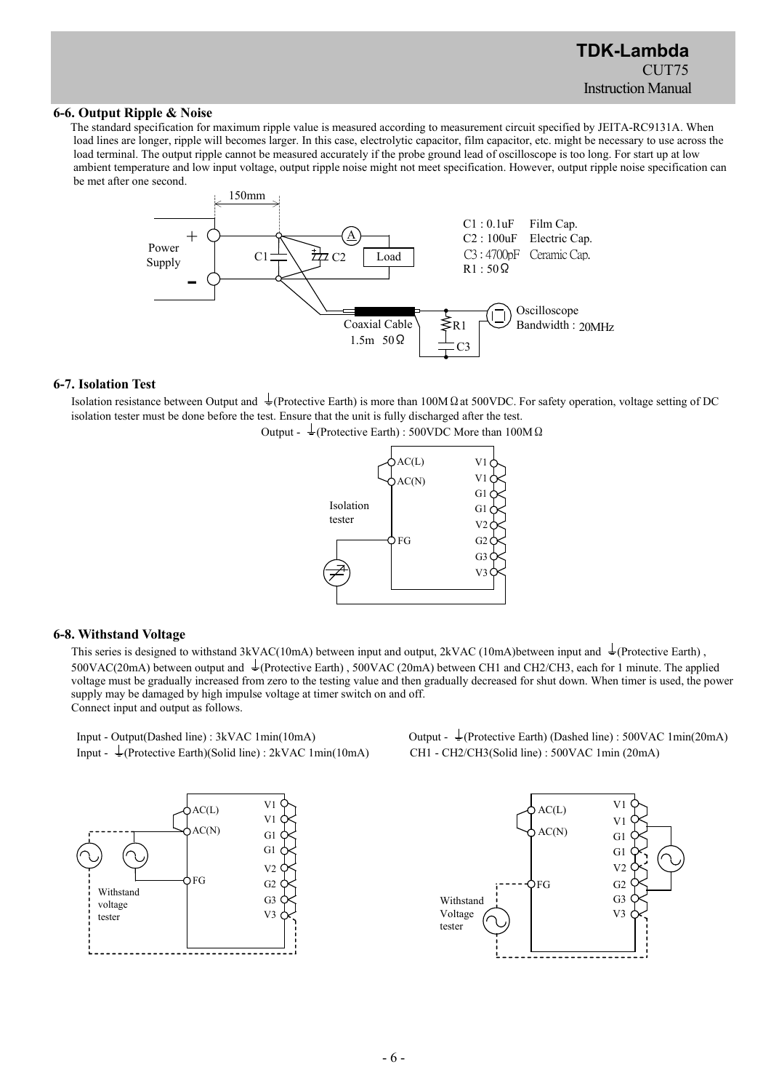#### **6-6. Output Ripple & Noise**

The standard specification for maximum ripple value is measured according to measurement circuit specified by JEITA-RC9131A. When load lines are longer, ripple will becomes larger. In this case, electrolytic capacitor, film capacitor, etc. might be necessary to use across the load terminal. The output ripple cannot be measured accurately if the probe ground lead of oscilloscope is too long. For start up at low ambient temperature and low input voltage, output ripple noise might not meet specification. However, output ripple noise specification can be met after one second.



#### **6-7. Isolation Test**

Isolation resistance between Output and  $\pm$  (Protective Earth) is more than 100M Q at 500VDC. For safety operation, voltage setting of DC isolation tester must be done before the test. Ensure that the unit is fully discharged after the test.





#### **6-8. Withstand Voltage**

This series is designed to withstand 3kVAC(10mA) between input and output, 2kVAC (10mA)between input and  $\perp$ (Protective Earth), 500VAC(20mA) between output and  $\pm$ (Protective Earth), 500VAC (20mA) between CH1 and CH2/CH3, each for 1 minute. The applied voltage must be gradually increased from zero to the testing value and then gradually decreased for shut down. When timer is used, the power supply may be damaged by high impulse voltage at timer switch on and off. Connect input and output as follows.

Input -  $\frac{1}{2}$ (Protective Earth)(Solid line) : 2kVAC 1min(10mA) CH1 - CH2/CH3(Solid line) : 500VAC 1min (20mA)



Input - Output(Dashed line) : 3kVAC 1min(10mA) Output -  $\frac{1}{2}$ (Protective Earth) (Dashed line) : 500VAC 1min(20mA)

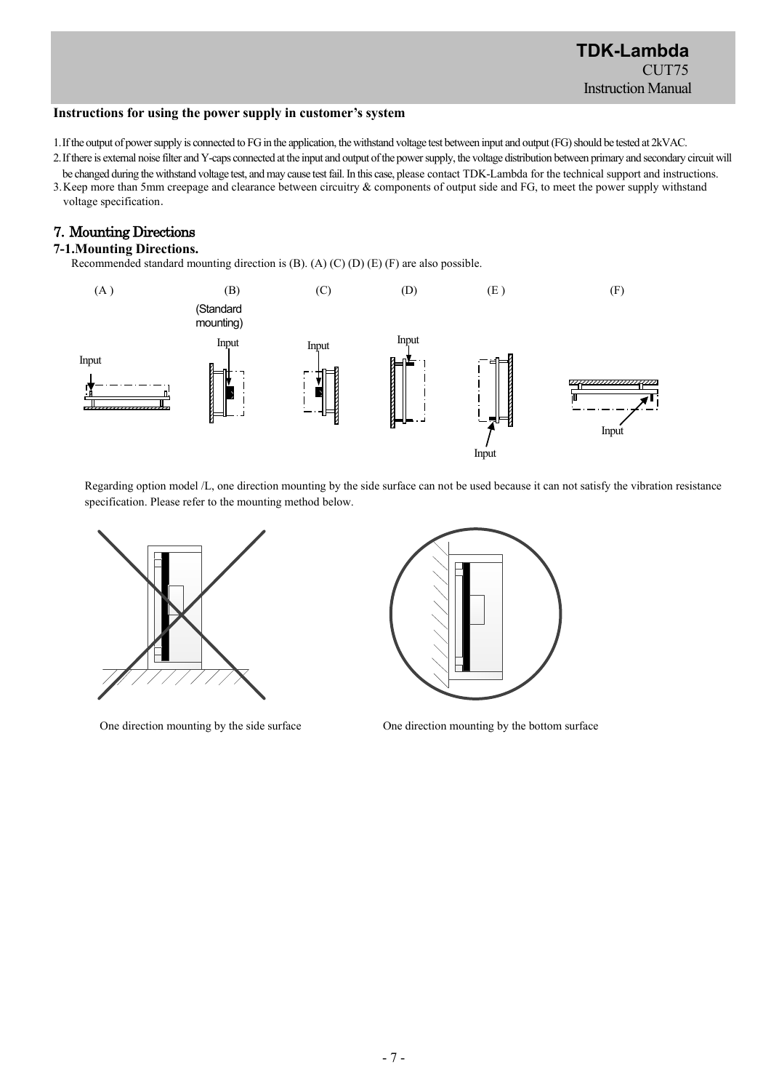#### **Instructions for using the power supply in customer's system**

- 1.If the output of power supply is connected to FG in the application, the withstand voltage test between input and output(FG) should be tested at 2kVAC.
- 2.If there is external noise filter and Y-caps connected at the input and output of the power supply, the voltage distribution between primary and secondary circuit will
- be changed during the withstand voltage test, and may cause test fail. In this case, please contact TDK-Lambda for the technical support and instructions. 3.Keep more than 5mm creepage and clearance between circuitry & components of output side and FG, to meet the power supply withstand voltage specification.

# 7.Mounting Directions

# **7-1.Mounting Directions.**

Recommended standard mounting direction is (B). (A) (C) (D) (E) (F) are also possible.



Regarding option model /L, one direction mounting by the side surface can not be used because it can not satisfy the vibration resistance specification. Please refer to the mounting method below.





One direction mounting by the side surface One direction mounting by the bottom surface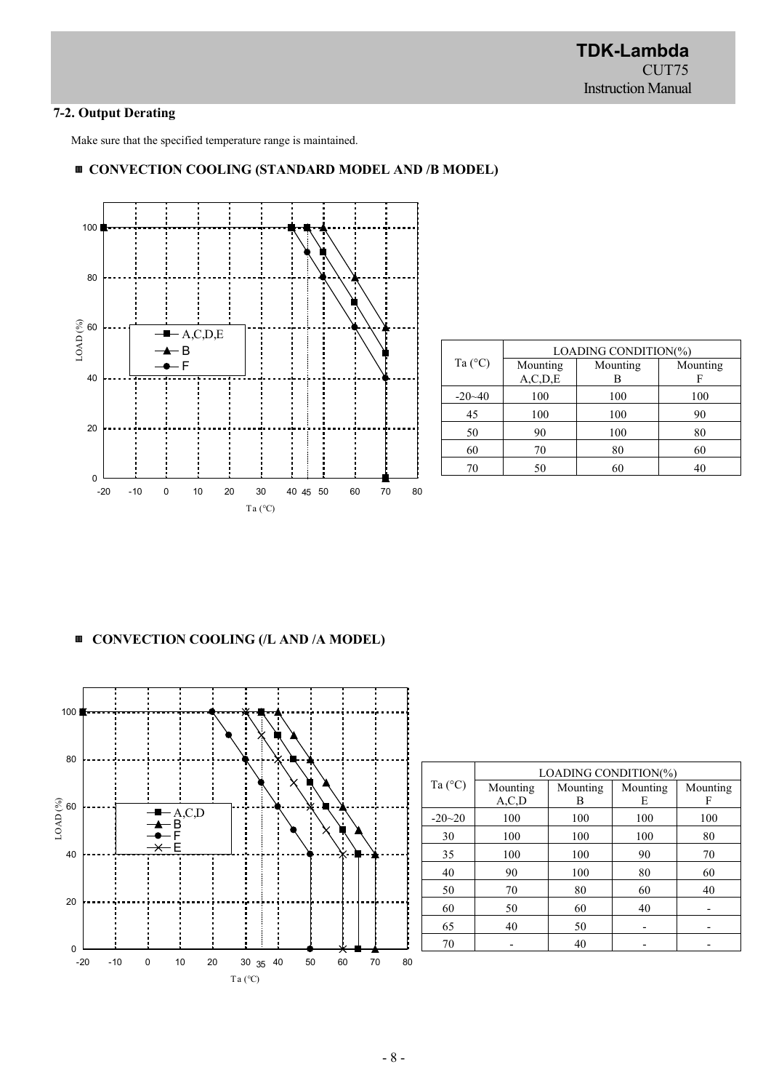# **7-2. Output Derating**

Make sure that the specified temperature range is maintained.

# ▥ **CONVECTION COOLING (STANDARD MODEL AND /B MODEL)**



|                  | LOADING CONDITION(%) |          |          |
|------------------|----------------------|----------|----------|
| Ta $(^{\circ}C)$ | Mounting             | Mounting | Mounting |
|                  | A, C, D, E           | В        | F        |
| $-20 - 40$       | 100                  | 100      | 100      |
| 45               | 100                  | 100      | 90       |
| 50               | 90                   | 100      | 80       |
| 60               | 70                   | 80       | 60       |
| 70               | 50                   | 60       | 40       |

# ▥ **CONVECTION COOLING (/L AND /A MODEL)**



|                  | LOADING CONDITION(%) |          |          |          |
|------------------|----------------------|----------|----------|----------|
| Ta $(^{\circ}C)$ | Mounting             | Mounting | Mounting | Mounting |
|                  | A, C, D              | В        | E        | F        |
| $-20-20$         | 100                  | 100      | 100      | 100      |
| 30               | 100                  | 100      | 100      | 80       |
| 35               | 100                  | 100      | 90       | 70       |
| 40               | 90                   | 100      | 80       | 60       |
| 50               | 70                   | 80       | 60       | 40       |
| 60               | 50                   | 60       | 40       |          |
| 65               | 40                   | 50       |          |          |
| 70               |                      | 40       |          |          |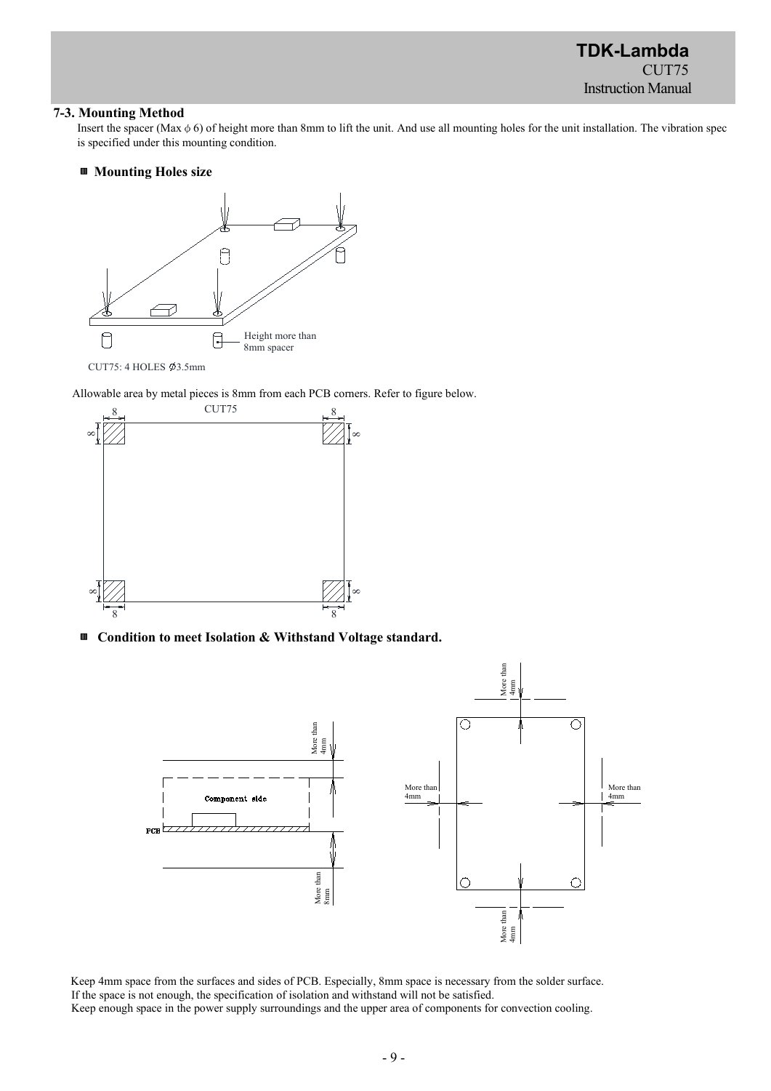**TDK-Lambda** CUT75 Instruction Manual

#### **7-3. Mounting Method**

Insert the spacer (Max  $\phi$  6) of height more than 8mm to lift the unit. And use all mounting holes for the unit installation. The vibration spec is specified under this mounting condition.

#### ▥ **Mounting Holes size**



Allowable area by metal pieces is 8mm from each PCB corners. Refer to figure below.



▥ **Condition to meet Isolation & Withstand Voltage standard.**



Keep 4mm space from the surfaces and sides of PCB. Especially, 8mm space is necessary from the solder surface. If the space is not enough, the specification of isolation and withstand will not be satisfied. Keep enough space in the power supply surroundings and the upper area of components for convection cooling.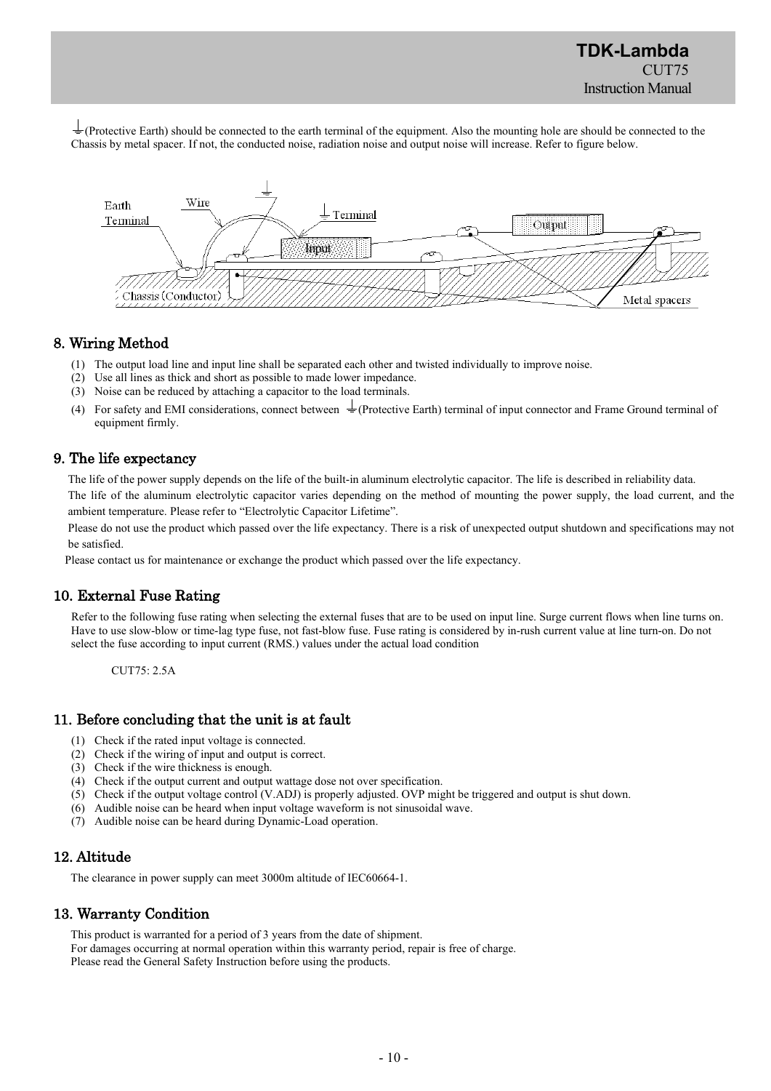$\frac{1}{\sqrt{2}}$  (Protective Earth) should be connected to the earth terminal of the equipment. Also the mounting hole are should be connected to the Chassis by metal spacer. If not, the conducted noise, radiation noise and output noise will increase. Refer to figure below.



# 8. Wiring Method

- (1) The output load line and input line shall be separated each other and twisted individually to improve noise.
- (2) Use all lines as thick and short as possible to made lower impedance.
- (3) Noise can be reduced by attaching a capacitor to the load terminals.
- (4) For safety and EMI considerations, connect between  $\perp$  (Protective Earth) terminal of input connector and Frame Ground terminal of equipment firmly.

# 9. The life expectancy

The life of the power supply depends on the life of the built-in aluminum electrolytic capacitor. The life is described in reliability data.

The life of the aluminum electrolytic capacitor varies depending on the method of mounting the power supply, the load current, and the ambient temperature. Please refer to "Electrolytic Capacitor Lifetime".

Please do not use the product which passed over the life expectancy. There is a risk of unexpected output shutdown and specifications may not be satisfied.

Please contact us for maintenance or exchange the product which passed over the life expectancy.

## 10. External Fuse Rating

Refer to the following fuse rating when selecting the external fuses that are to be used on input line. Surge current flows when line turns on. Have to use slow-blow or time-lag type fuse, not fast-blow fuse. Fuse rating is considered by in-rush current value at line turn-on. Do not select the fuse according to input current (RMS.) values under the actual load condition

CUT75: 2.5A

## 11. Before concluding that the unit is at fault

- (1) Check if the rated input voltage is connected.
- (2) Check if the wiring of input and output is correct.
- (3) Check if the wire thickness is enough.
- (4) Check if the output current and output wattage dose not over specification.
- (5) Check if the output voltage control (V.ADJ) is properly adjusted. OVP might be triggered and output is shut down.
- (6) Audible noise can be heard when input voltage waveform is not sinusoidal wave.
- (7) Audible noise can be heard during Dynamic-Load operation.

# 12. Altitude

The clearance in power supply can meet 3000m altitude of IEC60664-1.

# 13. Warranty Condition

This product is warranted for a period of 3 years from the date of shipment. For damages occurring at normal operation within this warranty period, repair is free of charge. Please read the General Safety Instruction before using the products.